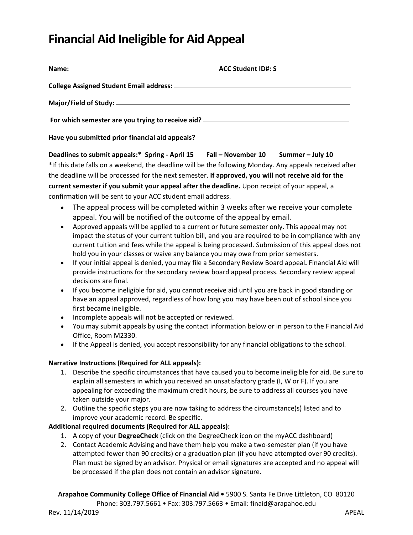## **Financial Aid Ineligible for Aid Appeal**

| Name: -                                                                          | ACC Student ID#: S                                                                                                                                                                                                                                                                                                                                                                                                                                                                                                                                                                                                                                                                                                                                                                                                                                                                                                                                                                                                                                                                                                                                                                                                                                                                                                                                                                                                                                                                                                                                                                                                                                                                                                                                                          |
|----------------------------------------------------------------------------------|-----------------------------------------------------------------------------------------------------------------------------------------------------------------------------------------------------------------------------------------------------------------------------------------------------------------------------------------------------------------------------------------------------------------------------------------------------------------------------------------------------------------------------------------------------------------------------------------------------------------------------------------------------------------------------------------------------------------------------------------------------------------------------------------------------------------------------------------------------------------------------------------------------------------------------------------------------------------------------------------------------------------------------------------------------------------------------------------------------------------------------------------------------------------------------------------------------------------------------------------------------------------------------------------------------------------------------------------------------------------------------------------------------------------------------------------------------------------------------------------------------------------------------------------------------------------------------------------------------------------------------------------------------------------------------------------------------------------------------------------------------------------------------|
|                                                                                  |                                                                                                                                                                                                                                                                                                                                                                                                                                                                                                                                                                                                                                                                                                                                                                                                                                                                                                                                                                                                                                                                                                                                                                                                                                                                                                                                                                                                                                                                                                                                                                                                                                                                                                                                                                             |
| For which semester are you trying to receive aid? ______________________________ |                                                                                                                                                                                                                                                                                                                                                                                                                                                                                                                                                                                                                                                                                                                                                                                                                                                                                                                                                                                                                                                                                                                                                                                                                                                                                                                                                                                                                                                                                                                                                                                                                                                                                                                                                                             |
|                                                                                  |                                                                                                                                                                                                                                                                                                                                                                                                                                                                                                                                                                                                                                                                                                                                                                                                                                                                                                                                                                                                                                                                                                                                                                                                                                                                                                                                                                                                                                                                                                                                                                                                                                                                                                                                                                             |
| $\bullet$<br>$\bullet$<br>$\bullet$                                              | Deadlines to submit appeals:* Spring - April 15 Fall - November 10 Summer - July 10<br>*If this date falls on a weekend, the deadline will be the following Monday. Any appeals received after<br>the deadline will be processed for the next semester. If approved, you will not receive aid for the<br>current semester if you submit your appeal after the deadline. Upon receipt of your appeal, a<br>confirmation will be sent to your ACC student email address.<br>The appeal process will be completed within 3 weeks after we receive your complete<br>appeal. You will be notified of the outcome of the appeal by email.<br>Approved appeals will be applied to a current or future semester only. This appeal may not<br>impact the status of your current tuition bill, and you are required to be in compliance with any<br>current tuition and fees while the appeal is being processed. Submission of this appeal does not<br>hold you in your classes or waive any balance you may owe from prior semesters.<br>If your initial appeal is denied, you may file a Secondary Review Board appeal. Financial Aid will<br>provide instructions for the secondary review board appeal process. Secondary review appeal<br>decisions are final.<br>If you become ineligible for aid, you cannot receive aid until you are back in good standing or<br>have an appeal approved, regardless of how long you may have been out of school since you<br>first became ineligible.<br>Incomplete appeals will not be accepted or reviewed.<br>You may submit appeals by using the contact information below or in person to the Financial Aid<br>Office, Room M2330.<br>If the Appeal is denied, you accept responsibility for any financial obligations to the school. |
|                                                                                  | <b>Narrative Instructions (Required for ALL appeals):</b><br>1. Describe the specific circumstances that have caused you to become ineligible for aid. Be sure to<br>explain all semesters in which you received an unsatisfactory grade (I, W or F). If you are<br>appealing for exceeding the maximum credit hours, be sure to address all courses you have<br>taken outside your major.                                                                                                                                                                                                                                                                                                                                                                                                                                                                                                                                                                                                                                                                                                                                                                                                                                                                                                                                                                                                                                                                                                                                                                                                                                                                                                                                                                                  |
|                                                                                  | 2. Outline the specific steps you are now taking to address the circumstance(s) listed and to<br>improve your academic record. Be specific.<br><b>Additional required documents (Required for ALL appeals):</b>                                                                                                                                                                                                                                                                                                                                                                                                                                                                                                                                                                                                                                                                                                                                                                                                                                                                                                                                                                                                                                                                                                                                                                                                                                                                                                                                                                                                                                                                                                                                                             |
| 2.                                                                               | 1. A copy of your DegreeCheck (click on the DegreeCheck icon on the myACC dashboard)<br>Contact Academic Advising and have them help you make a two-semester plan (if you have<br>attempted fewer than 90 credits) or a graduation plan (if you have attempted over 90 credits).                                                                                                                                                                                                                                                                                                                                                                                                                                                                                                                                                                                                                                                                                                                                                                                                                                                                                                                                                                                                                                                                                                                                                                                                                                                                                                                                                                                                                                                                                            |

Plan must be signed by an advisor. Physical or email signatures are accepted and no appeal will be processed if the plan does not contain an advisor signature.